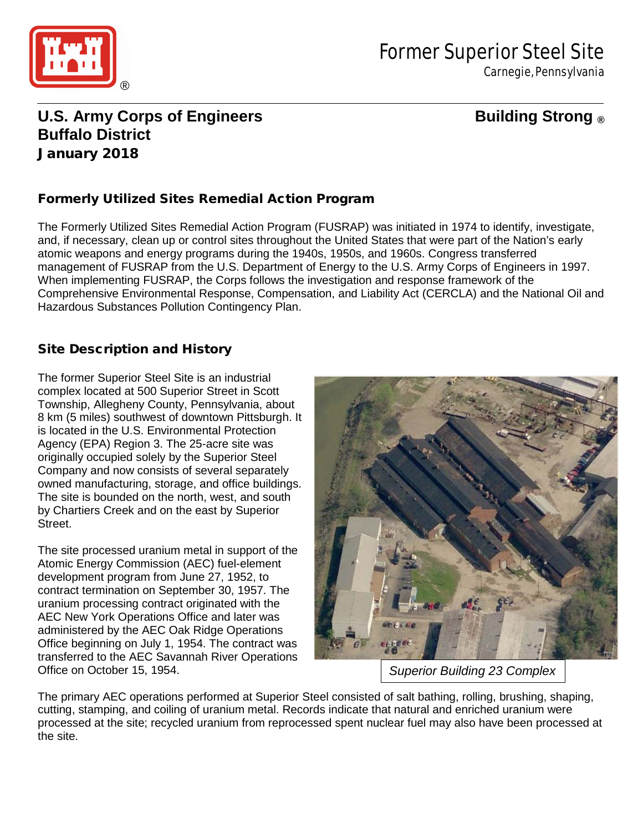

# Former Superior Steel Site

Carnegie, Pennsylvania

## **U.S. Army Corps of Engineers Building Strong ® Buffalo District** January 2018

### Formerly Utilized Sites Remedial Action Program

The Formerly Utilized Sites Remedial Action Program (FUSRAP) was initiated in 1974 to identify, investigate, and, if necessary, clean up or control sites throughout the United States that were part of the Nation's early atomic weapons and energy programs during the 1940s, 1950s, and 1960s. Congress transferred management of FUSRAP from the U.S. Department of Energy to the U.S. Army Corps of Engineers in 1997. When implementing FUSRAP, the Corps follows the investigation and response framework of the Comprehensive Environmental Response, Compensation, and Liability Act (CERCLA) and the National Oil and Hazardous Substances Pollution Contingency Plan.

#### Site Description and History

The former Superior Steel Site is an industrial complex located at 500 Superior Street in Scott Township, Allegheny County, Pennsylvania, about 8 km (5 miles) southwest of downtown Pittsburgh. It is located in the U.S. Environmental Protection Agency (EPA) Region 3. The 25-acre site was originally occupied solely by the Superior Steel Company and now consists of several separately owned manufacturing, storage, and office buildings. The site is bounded on the north, west, and south by Chartiers Creek and on the east by Superior Street.

The site processed uranium metal in support of the Atomic Energy Commission (AEC) fuel-element development program from June 27, 1952, to contract termination on September 30, 1957. The uranium processing contract originated with the AEC New York Operations Office and later was administered by the AEC Oak Ridge Operations Office beginning on July 1, 1954. The contract was transferred to the AEC Savannah River Operations Office on October 15, 1954.



*Superior Building 23 Complex*

The primary AEC operations performed at Superior Steel consisted of salt bathing, rolling, brushing, shaping, cutting, stamping, and coiling of uranium metal. Records indicate that natural and enriched uranium were processed at the site; recycled uranium from reprocessed spent nuclear fuel may also have been processed at the site.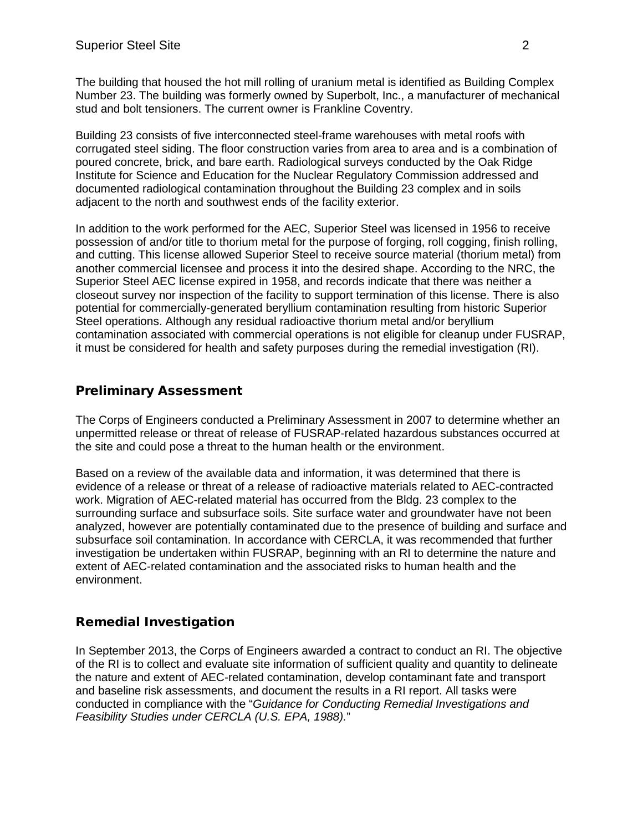The building that housed the hot mill rolling of uranium metal is identified as Building Complex Number 23. The building was formerly owned by Superbolt, Inc., a manufacturer of mechanical stud and bolt tensioners. The current owner is Frankline Coventry.

Building 23 consists of five interconnected steel-frame warehouses with metal roofs with corrugated steel siding. The floor construction varies from area to area and is a combination of poured concrete, brick, and bare earth. Radiological surveys conducted by the Oak Ridge Institute for Science and Education for the Nuclear Regulatory Commission addressed and documented radiological contamination throughout the Building 23 complex and in soils adjacent to the north and southwest ends of the facility exterior.

In addition to the work performed for the AEC, Superior Steel was licensed in 1956 to receive possession of and/or title to thorium metal for the purpose of forging, roll cogging, finish rolling, and cutting. This license allowed Superior Steel to receive source material (thorium metal) from another commercial licensee and process it into the desired shape. According to the NRC, the Superior Steel AEC license expired in 1958, and records indicate that there was neither a closeout survey nor inspection of the facility to support termination of this license. There is also potential for commercially-generated beryllium contamination resulting from historic Superior Steel operations. Although any residual radioactive thorium metal and/or beryllium contamination associated with commercial operations is not eligible for cleanup under FUSRAP, it must be considered for health and safety purposes during the remedial investigation (RI).

#### Preliminary Assessment

The Corps of Engineers conducted a Preliminary Assessment in 2007 to determine whether an unpermitted release or threat of release of FUSRAP-related hazardous substances occurred at the site and could pose a threat to the human health or the environment.

Based on a review of the available data and information, it was determined that there is evidence of a release or threat of a release of radioactive materials related to AEC-contracted work. Migration of AEC-related material has occurred from the Bldg. 23 complex to the surrounding surface and subsurface soils. Site surface water and groundwater have not been analyzed, however are potentially contaminated due to the presence of building and surface and subsurface soil contamination. In accordance with CERCLA, it was recommended that further investigation be undertaken within FUSRAP, beginning with an RI to determine the nature and extent of AEC-related contamination and the associated risks to human health and the environment.

#### Remedial Investigation

In September 2013, the Corps of Engineers awarded a contract to conduct an RI. The objective of the RI is to collect and evaluate site information of sufficient quality and quantity to delineate the nature and extent of AEC-related contamination, develop contaminant fate and transport and baseline risk assessments, and document the results in a RI report. All tasks were conducted in compliance with the "*Guidance for Conducting Remedial Investigations and Feasibility Studies under CERCLA (U.S. EPA, 1988).*"